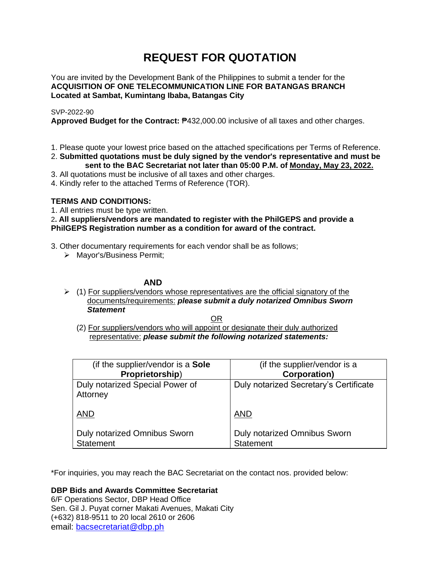# **REQUEST FOR QUOTATION**

You are invited by the Development Bank of the Philippines to submit a tender for the **ACQUISITION OF ONE TELECOMMUNICATION LINE FOR BATANGAS BRANCH Located at Sambat, Kumintang Ibaba, Batangas City**

## SVP-2022-90

**Approved Budget for the Contract:** ₱432,000.00 inclusive of all taxes and other charges.

- 1. Please quote your lowest price based on the attached specifications per Terms of Reference.
- 2. **Submitted quotations must be duly signed by the vendor's representative and must be sent to the BAC Secretariat not later than 05:00 P.M. of Monday, May 23, 2022.**
- 3. All quotations must be inclusive of all taxes and other charges.
- 4. Kindly refer to the attached Terms of Reference (TOR).

# **TERMS AND CONDITIONS:**

1. All entries must be type written.

# 2**. All suppliers/vendors are mandated to register with the PhilGEPS and provide a PhilGEPS Registration number as a condition for award of the contract.**

- 3. Other documentary requirements for each vendor shall be as follows;
	- ➢ Mayor's/Business Permit;

# **AND**

 $\geq$  (1) For suppliers/vendors whose representatives are the official signatory of the documents/requirements: *please submit a duly notarized Omnibus Sworn Statement*

<u>OR Starting and the Starting OR Starting</u>

(2) For suppliers/vendors who will appoint or designate their duly authorized representative: *please submit the following notarized statements:*

| (if the supplier/vendor is a Sole                       | (if the supplier/vendor is a                            |
|---------------------------------------------------------|---------------------------------------------------------|
| Proprietorship)                                         | <b>Corporation)</b>                                     |
| Duly notarized Special Power of<br>Attorney             | Duly notarized Secretary's Certificate                  |
| <b>AND</b>                                              | <b>AND</b>                                              |
| <b>Duly notarized Omnibus Sworn</b><br><b>Statement</b> | <b>Duly notarized Omnibus Sworn</b><br><b>Statement</b> |

\*For inquiries, you may reach the BAC Secretariat on the contact nos. provided below:

**DBP Bids and Awards Committee Secretariat**  6/F Operations Sector, DBP Head Office

Sen. Gil J. Puyat corner Makati Avenues, Makati City (+632) 818-9511 to 20 local 2610 or 2606 email: [bacsecretariat@dbp.ph](mailto:bacsecretariat@dbp.ph)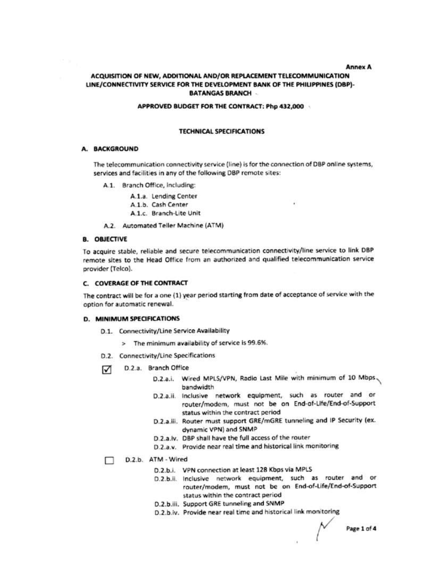#### **Annex A**

## ACQUISITION OF NEW, ADDITIONAL AND/OR REPLACEMENT TELECOMMUNICATION LINE/CONNECTIVITY SERVICE FOR THE DEVELOPMENT BANK OF THE PHILIPPINES (DBP)-**BATANGAS BRANCH**

#### APPROVED BUDGET FOR THE CONTRACT: Php 432,000

## **TECHNICAL SPECIFICATIONS**

## A. BACKGROUND

The telecommunication connectivity service (line) is for the connection of DBP online systems, services and facilities in any of the following DBP remote sites:

- A.1. Branch Office, Including:
	- A.1.a. Lending Center
	- A.1.b. Cash Center
	- A.1.c. Branch-Lite Unit
- A.2. Automated Teller Machine (ATM)

#### **B. OBJECTIVE**

To acquire stable, reliable and secure telecommunication connectivity/line service to link DBP remote sites to the Head Office from an authorized and qualified telecommunication service provider (Telco).

### C. COVERAGE OF THE CONTRACT

The contract will be for a one (1) year period starting from date of acceptance of service with the option for automatic renewal.

#### D. MINIMUM SPECIFICATIONS

- D.1. Connectivity/Line Service Availability
	- > The minimum availability of service is 99.6%.
- D.2. Connectivity/Line Specifications
- D.2.a. Branch Office ☑
	- D.2.a.i. Wired MPLS/VPN, Radio Last Mile with minimum of 10 Mbps bandwidth
	- D.2.a.ii. Inclusive network equipment, such as router and or router/modem, must not be on End-of-Life/End-of-Support status within the contract period
	- D.2.a.iii. Router must support GRE/mGRE tunneling and IP Security (ex. dynamic VPN) and SNMP
	- D.2.a.iv. DBP shall have the full access of the router
	- D.2.a.v. Provide near real time and historical link monitoring
- D.2.b. ATM Wired П
	- D.2.b.i. VPN connection at least 128 Kbps via MPLS
	- D.2.b.ii. Inclusive network equipment, such as router and or router/modem, must not be on End-of-Life/End-of-Support status within the contract period
	- D.2.b.iii. Support GRE tunneling and SNMP
	- D.2.b.iv. Provide near real time and historical link monitoring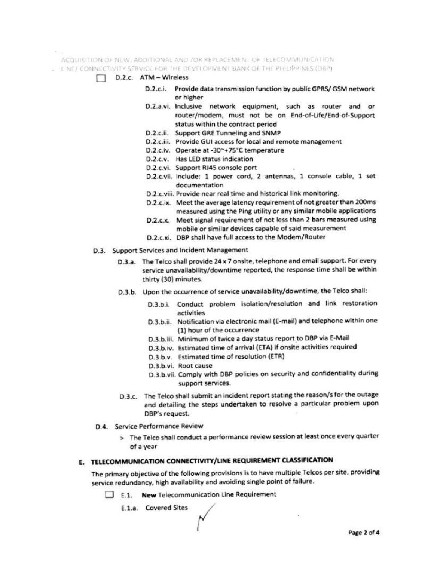ACQUISITION OF NEW, ADDITIONAL AND JOR REPLACEMENT OF TELECOMMUNICATION.

- . I NE/ CONNECTIVITY SERVICE FOR THE DEVELOPMENT BANK OF THE PHILIPPINES (DBP)
	- D.2.c. ATM Wireless
		- D.2.c.i. Provide data transmission function by public GPRS/ GSM network or higher
		- D.2.a.vi. Inclusive network equipment, such as router and or router/modem, must not be on End-of-Life/End-of-Support status within the contract period
		- D.2.c.ii. Support GRE Tunneling and SNMP
		- D.2.c.iii. Provide GUI access for local and remote management
		- D.2.c.iv. Operate at -30~+75°C temperature
		- D.2.c.v. Has LED status indication
		- D.2.c.vi. Support RJ45 console port
		- D.2.c.vii. include: 1 power cord, 2 antennas, 1 console cable, 1 set documentation
		- D.2.c.viii. Provide near real time and historical link monitoring.
		- D.2.c.ix. Meet the average latency requirement of not greater than 200ms measured using the Ping utility or any similar mobile applications
		- D.2.c.x. Meet signal requirement of not less than 2 bars measured using mobile or similar devices capable of said measurement
		- D.2.c.xi. DBP shall have full access to the Modem/Router
	- D.3. Support Services and Incident Management
		- D.3.a. The Telco shall provide 24 x 7 onsite, telephone and email support. For every service unavailability/downtime reported, the response time shall be within thirty (30) minutes.
		- D.3.b. Upon the occurrence of service unavailability/downtime, the Telco shall:
			- D.3.b.i. Conduct problem isolation/resolution and link restoration activities
			- D.3.b.ii. Notification via electronic mail (E-mail) and telephone within one (1) hour of the occurrence
			- D.3.b.iii. Minimum of twice a day status report to DBP via E-Mail
			- D.3.b.iv. Estimated time of arrival (ETA) if onsite activities required
			- D.3.b.v. Estimated time of resolution (ETR)
			- D.3.b.vi. Root cause
			- D.3.b.vii. Comply with DBP policies on security and confidentiality during support services.
		- D.3.c. The Telco shall submit an incident report stating the reason/s for the outage and detailing the steps undertaken to resolve a particular problem upon DBP's request.
	- D.4. Service Performance Review
		- > The Telco shall conduct a performance review session at least once every quarter of a year

# E. TELECOMMUNICATION CONNECTIVITY/LINE REQUIREMENT CLASSIFICATION

The primary objective of the following provisions is to have multiple Telcos per site, providing service redundancy, high availability and avoiding single point of failure.

E.1. New Telecommunication Line Requirement

E.1.a. Covered Sites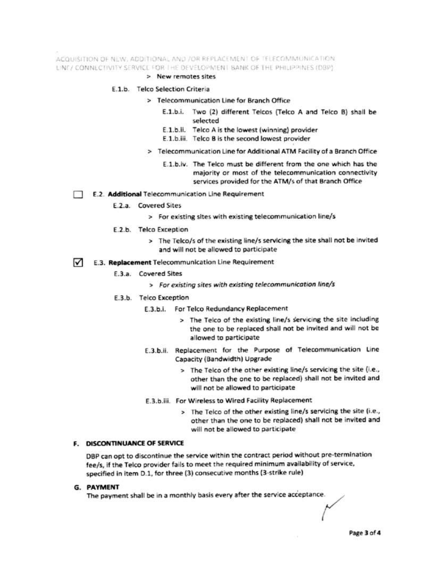ACQUISITION OF NEW, ADDITIONAL AND /OR REPLACEMENT OF TELECOMMUNICATION LINE/ CONNECTIVITY SERVICE FOR THE DEVELOPMENT BANK OF THE PHILIPPINES (DBP)

> New remotes sites

## E.1.b. Telco Selection Criteria

- > Telecommunication Line for Branch Office
	- E.1.b.i. Two (2) different Telcos (Telco A and Telco B) shall be selected
	- E.1.b.ii. Telco A is the lowest (winning) provider
	- E.1.b.iii. Telco B is the second lowest provider
- > Telecommunication Line for Additional ATM Facility of a Branch Office
	- E.1.b.iv. The Telco must be different from the one which has the majority or most of the telecommunication connectivity services provided for the ATM/s of that Branch Office
- E.2. Additional Telecommunication Line Requirement
	- E.2.a. Covered Sites
		- > For existing sites with existing telecommunication line/s
	- E.2.b. Telco Exception
		- > The Telco/s of the existing line/s servicing the site shall not be invited and will not be allowed to participate
- E.3. Replacement Telecommunication Line Requirement  $\sim$ 
	- E.3.a. Covered Sites
		- > For existing sites with existing telecommunication line/s
	- E.3.b. Telco Exception
		- E.3.b.i. For Telco Redundancy Replacement
			- > The Telco of the existing line/s servicing the site including the one to be replaced shall not be invited and will not be allowed to participate
		- E.3.b.ii. Replacement for the Purpose of Telecommunication Line Capacity (Bandwidth) Upgrade
			- > The Telco of the other existing line/s servicing the site (i.e., other than the one to be replaced) shall not be invited and will not be allowed to participate
		- E.3.b.iii. For Wireless to Wired Facility Replacement
			- > The Telco of the other existing line/s servicing the site (i.e., other than the one to be replaced) shall not be invited and will not be allowed to participate

## **F. DISCONTINUANCE OF SERVICE**

DBP can opt to discontinue the service within the contract period without pre-termination fee/s, if the Telco provider fails to meet the required minimum availability of service, specified in item D.1, for three (3) consecutive months (3-strike rule)

G. PAYMENT

The payment shall be in a monthly basis every after the service acceptance.